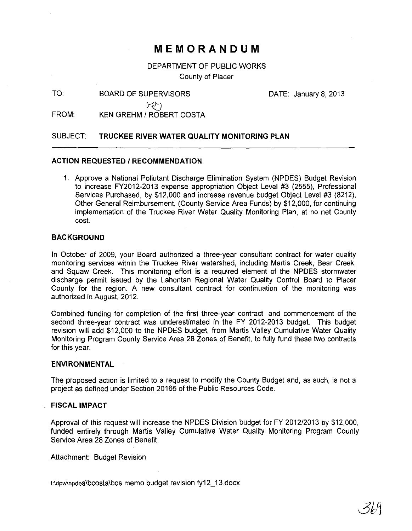# **MEMORANDUM**

DEPARTMENT OF PUBLIC WORKS County of Placer

TO: BOARD OF SUPERVISORS

DATE: January 8, 2013

*YD* 

FROM: KEN GREHM / ROBERT COSTA

# SUBJECT: **TRUCKEE RIVER WATER QUALITY MONITORING PLAN**

## **ACTION REQUESTED 1 RECOMMENDATION**

1. Approve a National Pollutant Discharge Elimination System (NPDES) Budget Revision to increase FY2012-2013 expense appropriation Object Level #3 (2555), Professional Services Purchased, by \$12,000 and increase revenue budget Object Level #3 (8212), Other General Reimbursement, (County Service Area Funds) by \$12,000, for continuing implementation of the Truckee River Water Quality Monitoring Plan, at no net County cost.

## **BACKGROUND**

In October of 2009, your Board authorized a three-year consultant contract for water quality monitoring services within the Truckee River watershed, including Martis Creek, Bear Creek, and Squaw Creek. This monitoring effort is a required element of the NPDES stormwater discharge permit issued by the Lahontan Regional Water Quality Control Board to Placer County for the region. A new consultant contract for continuation of the monitoring was authorized in August, 2012.

Combined funding for completion of the first three-year contract, and commencement of the second three-year contract was underestimated in the FY 2012-2013 budget. This budget revision will add \$12,000 to the NPDES budget, from Martis Valley Cumulative Water Quality Monitoring Program County Service Area 28 Zones of Benefit, to fully fund these two contracts for this year.

#### **ENVIRONMENTAL**

The proposed action is limited to a request to modify the County Budget and, as such, is not a project as defined under Section 20165 of the Public Resources Code.

#### **FISCAL IMPACT**

Approval of this request will increase the NPDES Division budget for FY 2012/2013 by \$12,000, funded entirely through Martis Valley Cumulative Water Quality Monitoring Program County Service Area 28 Zones of Benefit.

Attachment: Budget Revision

t:\dpw\npdes\bcosta\bos memo budget revision fy12\_13.docx